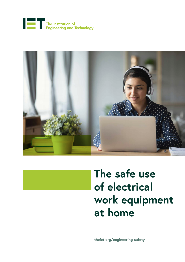





# **The safe use of electrical work equipment at home**

**[theiet.org/engineering-safety](https://theiet.org/engineering-safety)**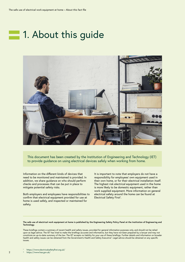## **1. About this guide**



This document has been created by the Institution of Engineering and Technology (IET) to provide guidance on using electrical devices safely when working from home.

Information on the different kinds of devices that need to be monitored and maintained is provided. In addition, we share guidance on who should perform checks and processes that can be put in place to mitigate potential safety risks.

Both employers and employees have responsibilities to confirm that electrical equipment provided for use at home is used safely, and inspected or maintained for safety.

It is important to note that employers do not have a responsibility for employees' own equipment used in their own home, or for their electrical installation itself. The highest risk electrical equipment used in the home is more likely to be domestic equipment, rather than work supplied equipment. More information on general electrical safety around the home can be found at Electrical Safety First<sup>1</sup>.

#### **The safe use of electrical work equipment at home is published by the Engineering Safety Policy Panel at the Institution of Engineering and Technology.**

These briefings contain a summary of recent health and safety issues, provided for general information purposes only, and should not be relied upon as legal advice. The IET has tried to make the briefings accurate and informative, but they have not been prepared by a lawyer and may not constitute an up-to-date summary of the law. The IET accepts no liability for your use of these briefings. Further details and information on broader health and safety issues can be obtained from the Government's Health and Safety Executive<sup>2</sup>. Legal advice should be obtained on any specific issues.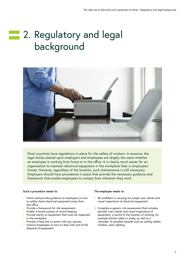# **2. Regulatory and legal** background



Most countries have regulations in place for the safety of workers. In essence, the legal duties placed upon employers and employees are largely the same whether an employee is working from home or in the office. It is clearly much easier for an organisation to maintain electrical equipment in the workplace than in employees' homes. However, regardless of the location, such maintenance is still necessary. Employers should have procedures in place that provide the necessary guidance and framework that enable employees to comply from wherever they work.

#### **Such a procedure needs to:**

- **–** Inform and provide guidance to employees on how to safely check electrical equipment away from the office.
- **–** Provide a framework for risk assessment.
- **–** Enable a formal system of record keeping.
- **–** Provide clarity on equipment that must be inspected in the workplace.
- **–** Provide a 'help line' to assist with any queries.
- **–** Instruct employees on how to deal with end-of-life disposal of equipment.

#### **The employee needs to:**

- **1.** Be confident in carrying out simple user checks and visual inspections of electrical equipment.
- **2.** Complete a generic risk assessment that includes periodic user checks and visual inspections of equipment, a record of the location of working, for example kitchen table vs study, as well as a 'reminder' of possible hazards such as trailing cables, children, pets, lighting.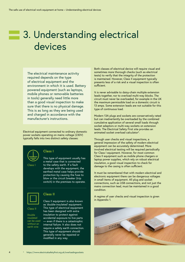## **3. Understanding electrical** devices

The electrical maintenance activity required depends on the type of electrical equipment and the environment in which it is used. Battery powered equipment (such as laptops, mobile phones or removable batteries in tools) generally need little more than a good visual inspection to make sure that there is no physical damage. This is as long as they are being used and charged in accordance with the manufacturer's instructions.

Electrical equipment connected to ordinary domestic power sockets operating on mains voltage (230V) typically falls into two distinct safety classes:



### **Class I**

This type of equipment usually has a metal case that is connected to the safety earth. If a fault develops with the equipment, the earthed metal case helps provide protection by causing the fuse to blow or the circuit breaker (trip switch) in the premises to operate.



### **Class II**

Class II

Double insulated can be used without an earth wire

Class II equipment is also known as 'double-insulated' equipment. This type of electrical equipment has been designed with extra insulation to protect against accidental exposure to live parts — even if there is a catastrophic internal failure. It also does not require a safety earth connection. This type of equipment should generally never be repaired or modified in any way.

Both classes of electrical device will require visual and sometimes more thorough checks (such as electrical tests) to verify that the integrity of the protection is maintained. However, Class II equipment typically presents less of a risk and a visual inspection is often sufficient.

It is never advisable to daisy-chain multiple extension leads together, nor to overload multi-way blocks. The circuit must never be overloaded, for example in the UK the maximum permissible load on a domestic circuit is 13 amps. Some extension leads are not suitable for this type of continuous load.

Modern 13A plugs and sockets are conservatively rated but can inadvertently be overloaded by the combined cumulative application of several small loads through socket adaptors or multi-way sockets on extension leads. The Electrical Safety First site provides an animated socket overload calculator3 .

Through user checks and visual inspections, a general impression of the safety of modern electrical equipment can be accurately determined. More involved electrical testing will be required periodically for Class I equipment. However, for most common Class II equipment such as mobile phone chargers or laptop power supplies, which rely on robust electrical insulation, a good visual inspection to check for damage to the casing is often sufficient.

It must be remembered that with modern electrical and electronic equipment there can be dangerous voltages in small items of equipment. All plug and socket connections, such as USB connections, and not just the mains connection lead, must be maintained in a good condition.

A regime of user checks and visual inspection is given in Appendix 1.

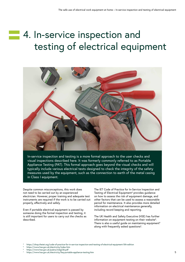# **4. In-service inspection and** testing of electrical equipment



In-service inspection and testing is a more formal approach to the user checks and visual inspections described here. It was formerly commonly referred to as Portable Appliance Testing (PAT). This formal approach goes beyond the visual checks and will typically include various electrical tests designed to check the integrity of the safety measures used by the equipment, such as the connection to earth of the metal casing in Class I equipment.

Despite common misconceptions, this work does not need to be carried out by an experienced electrician. However, proper training and adequate test instruments are required if the work is to be carried out properly, effectively and safely.

Even if portable electrical equipment is passed by someone doing the formal inspection and testing, it is still important for users to carry out the checks as described.

The IET Code of Practice for In-Service Inspection and Testing of Electrical Equipment<sup>4</sup> provides guidance on how to assess the risk of equipment damage, and other factors that can be used to assess a reasonable period for maintenance. It also provides more detailed information on electrical maintenance generally, including record keeping and reporting.

The UK Health and Safety Executive (HSE) has further information on equipment testing on their website<sup>5</sup>. There is also a useful quide on maintaining equipment<sup>6</sup> along with frequently asked questions<sup>6</sup>.

<sup>4</sup> <https://shop.theiet.org/code-of-practice-for-in-service-inspection-and-testing-of-electrical-equipment-5th-edition>

- <sup>5</sup> <https://www.hse.gov.uk/electricity/index.htm>
- <sup>6</sup> <https://www.hse.gov.uk/pubns/indg236.pdf>
- <https://www.hse.gov.uk/electricity/faq-portable-appliance-testing.htm> 5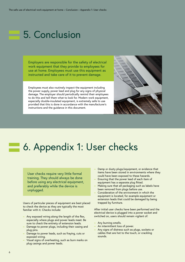## 5. Conclusion

Employers are responsible for the safety of electrical work equipment that they provide to employees for use at home. Employees must use this equipment as instructed and take care of it to prevent damage.

Employees must also routinely inspect the equipment including the power supply, power lead and plug for any signs of physical damage. The employer should periodically remind their employees to do this and tell them what to look for. Modern work equipment, especially double-insulated equipment, is extremely safe to use provided that this is done in accordance with the manufacturer's instructions and the guidance in this document.



## **6. Appendix 1: User checks**

User checks require very little formal training. They should always be done before using any electrical equipment, and preferably while the device is unplugged.

Users of particular pieces of equipment are best placed to check the device as they are typically the most familiar with it. Checks include:

- **–** Any exposed wiring along the length of the flex, especially where plugs and power leads meet. Be sure to check the entirety of extension leads.
- **–** Damage to power plugs, including their casing and plug pins.
- **–** Damage to power leads, such as fraying, cuts or exposed wiring.
- **–** Visual signs of overheating, such as burn marks on plug casings and power leads.
- **–** Damp or dusty plugs/equipment, or evidence that items have been stored in environments where they could have been exposed to these hazards.
- **–** Ensuring that the power lead of each item of equipment has a separate plug fitted.
- **–** Making sure that all packaging such as labels have been removed from plugs before use.
- **–** Consideration of the environment in which the equipment is located, for example equipment or extension leads that could be damaged by being trapped by furniture.

After initial user checks have been performed and the electrical device is plugged into a power socket and switched on, users should remain vigilant of:

- **–** Any burning smells.
- **–** An intermittent loss of power.
- **–** Any signs of distress such as plugs, sockets or cables that are hot to the touch, or crackling sounds.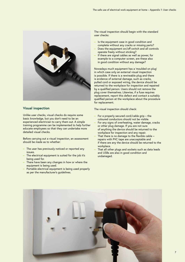

### **Visual inspection**

Unlike user checks, visual checks do require some basic knowledge, but you don't need to be an experienced electrician to carry them out. A simple training programme can be implemented to help further educate employees so that they can undertake more detailed visual checks.

Before carrying out a visual inspection, an assessment should be made as to whether:

- **–** The user has previously noticed or reported any issues.
- **–** The electrical equipment is suited for the job it's being used for.
- **–** There have been any changes in how or where the equipment is being used.
- **–** Portable electrical equipment is being used properly as per the manufacturer's guidelines.

The visual inspection should begin with the standard user checks:

- **–** Is the equipment case in good condition and complete without any cracks or missing parts?
- **–** Does the equipment on/off switch and all controls operate freely without sticking?
- **–** If there are signal cables as well as power, for example to a computer screen, are these also in good condition without any damage?

Nowadays much equipment has a 'moulded on plug' in which case only an external visual inspection is possible. If there is a rewireable plug and there is evidence of external damage, such as cracks, pulled cord or exposed wiring, the device should be returned to the workplace for inspection and repaired by a qualified person. Users should not remove the plug cover themselves. Likewise, if a fuse requires replacement, report this defect and contact a suitably qualified person at the workplace about the procedure for replacement.

The visual inspection should check:

- **–** For a properly secured cord/cable grip the coloured conductors should not be visible.
- **–** For any signs of overheating, water damage, cracks or other plug damage. If you are not sure of anything the device should be returned to the workplace for inspection and any repair.
- **–** That there is no damage to the flexible cable repairs with PVC tape are unacceptable and if there are any the device should be returned to the workplace.
- **–** That all other plugs and sockets such as data leads and USBs are also in good condition and undamaged.